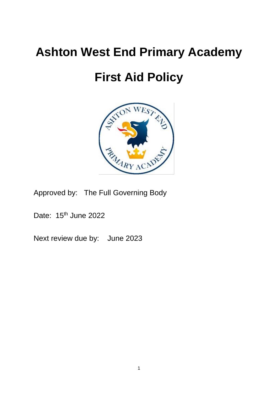# **Ashton West End Primary Academy**

# **First Aid Policy**



Approved by: The Full Governing Body

Date: 15<sup>th</sup> June 2022

Next review due by: June 2023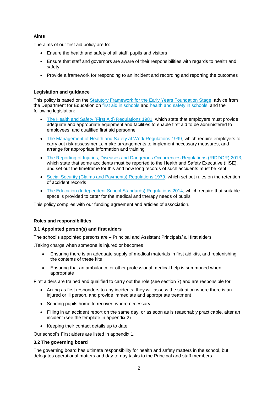# **Aims**

The aims of our first aid policy are to:

- Ensure the health and safety of all staff, pupils and visitors
- Ensure that staff and governors are aware of their responsibilities with regards to health and safety
- Provide a framework for responding to an incident and recording and reporting the outcomes

# **Legislation and guidance**

This policy is based on the [Statutory Framework for the Early Years Foundation Stage,](https://www.gov.uk/government/uploads/system/uploads/attachment_data/file/596629/EYFS_STATUTORY_FRAMEWORK_2017.pdf) advice from the Department for Education on [first aid in schools](https://www.gov.uk/government/publications/first-aid-in-schools) and [health and safety in schools,](https://www.gov.uk/government/publications/health-and-safety-advice-for-schools) and the following legislation:

- [The Health and Safety \(First Aid\) Regulations 1981,](http://www.legislation.gov.uk/uksi/1981/917/regulation/3/made) which state that employers must provide adequate and appropriate equipment and facilities to enable first aid to be administered to employees, and qualified first aid personnel
- [The Management of Health and Safety at Work Regulations 1999,](http://www.legislation.gov.uk/uksi/1999/3242/contents/made) which require employers to carry out risk assessments, make arrangements to implement necessary measures, and arrange for appropriate information and training
- [The Reporting of Injuries, Diseases and Dangerous Occurrences Regulations](http://www.legislation.gov.uk/uksi/2013/1471/schedule/1/paragraph/1/made) (RIDDOR) 2013, which state that some accidents must be reported to the Health and Safety Executive (HSE), and set out the timeframe for this and how long records of such accidents must be kept
- [Social Security \(Claims and Payments\) Regulations 1979,](http://www.legislation.gov.uk/uksi/1979/628) which set out rules on the retention of accident records
- The Education [\(Independent School Standards\) Regulations 2014,](http://www.legislation.gov.uk/uksi/2014/3283/schedule/made) which require that suitable space is provided to cater for the medical and therapy needs of pupils

This policy complies with our funding agreement and articles of association.

# **Roles and responsibilities**

# **3.1 Appointed person(s) and first aiders**

The school's appointed persons are – Principal and Assistant Principals/ all first aiders

.Taking charge when someone is injured or becomes ill

- Ensuring there is an adequate supply of medical materials in first aid kits, and replenishing the contents of these kits
- Ensuring that an ambulance or other professional medical help is summoned when appropriate

First aiders are trained and qualified to carry out the role (see section 7) and are responsible for:

- Acting as first responders to any incidents; they will assess the situation where there is an injured or ill person, and provide immediate and appropriate treatment
- Sending pupils home to recover, where necessary
- Filling in an accident report on the same day, or as soon as is reasonably practicable, after an incident (see the template in appendix 2)
- Keeping their contact details up to date

Our school's First aiders are listed in appendix 1.

# **3.2 The governing board**

The governing board has ultimate responsibility for health and safety matters in the school, but delegates operational matters and day-to-day tasks to the Principal and staff members.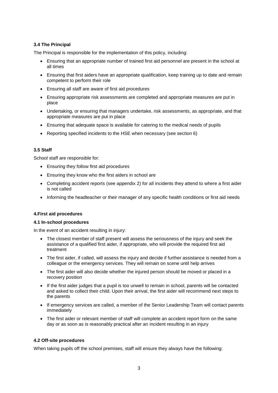# **3.4 The Principal**

The Principal is responsible for the implementation of this policy, including:

- Ensuring that an appropriate number of trained first aid personnel are present in the school at all times
- Ensuring that first aiders have an appropriate qualification, keep training up to date and remain competent to perform their role
- Ensuring all staff are aware of first aid procedures
- Ensuring appropriate risk assessments are completed and appropriate measures are put in place
- Undertaking, or ensuring that managers undertake, risk assessments, as appropriate, and that appropriate measures are put in place
- Ensuring that adequate space is available for catering to the medical needs of pupils
- Reporting specified incidents to the HSE when necessary (see section 6)

# **3.5 Staff**

School staff are responsible for:

- Ensuring they follow first aid procedures
- Ensuring they know who the first aiders in school are
- Completing accident reports (see appendix 2) for all incidents they attend to where a first aider is not called
- Informing the headteacher or their manager of any specific health conditions or first aid needs

# **4.First aid procedures**

#### **4.1 In-school procedures**

In the event of an accident resulting in injury:

- The closest member of staff present will assess the seriousness of the injury and seek the assistance of a qualified first aider, if appropriate, who will provide the required first aid treatment
- The first aider, if called, will assess the injury and decide if further assistance is needed from a colleague or the emergency services. They will remain on scene until help arrives
- The first aider will also decide whether the injured person should be moved or placed in a recovery position
- If the first aider judges that a pupil is too unwell to remain in school, parents will be contacted and asked to collect their child. Upon their arrival, the first aider will recommend next steps to the parents
- If emergency services are called, a member of the Senior Leadership Team will contact parents immediately
- The first aider or relevant member of staff will complete an accident report form on the same day or as soon as is reasonably practical after an incident resulting in an injury

# **4.2 Off-site procedures**

When taking pupils off the school premises, staff will ensure they always have the following: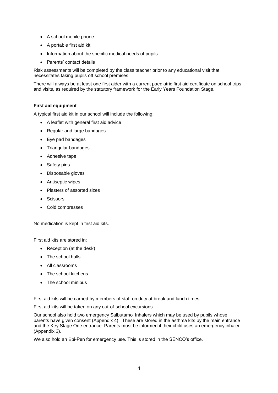- A school mobile phone
- A portable first aid kit
- Information about the specific medical needs of pupils
- Parents' contact details

Risk assessments will be completed by the class teacher prior to any educational visit that necessitates taking pupils off school premises.

There will always be at least one first aider with a current paediatric first aid certificate on school trips and visits, as required by the statutory framework for the Early Years Foundation Stage.

# **First aid equipment**

A typical first aid kit in our school will include the following:

- A leaflet with general first aid advice
- Regular and large bandages
- Eye pad bandages
- Triangular bandages
- Adhesive tape
- Safety pins
- Disposable gloves
- Antiseptic wipes
- Plasters of assorted sizes
- **Scissors**
- Cold compresses

No medication is kept in first aid kits.

First aid kits are stored in:

- Reception (at the desk)
- The school halls
- All classrooms
- The school kitchens
- The school minibus

First aid kits will be carried by members of staff on duty at break and lunch times

First aid kits will be taken on any out-of-school excursions

Our school also hold two emergency Salbutamol Inhalers which may be used by pupils whose parents have given consent (Appendix 4). These are stored in the asthma kits by the main entrance and the Key Stage One entrance. Parents must be informed if their child uses an emergency inhaler (Appendix 3).

We also hold an Epi-Pen for emergency use. This is stored in the SENCO's office.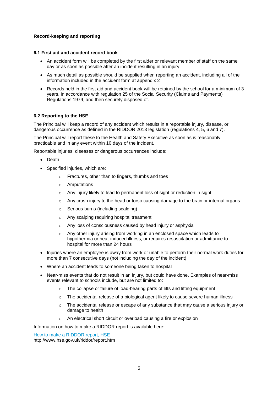# **Record-keeping and reporting**

#### **6.1 First aid and accident record book**

- An accident form will be completed by the first aider or relevant member of staff on the same day or as soon as possible after an incident resulting in an injury
- As much detail as possible should be supplied when reporting an accident, including all of the information included in the accident form at appendix 2
- Records held in the first aid and accident book will be retained by the school for a minimum of 3 years, in accordance with regulation 25 of the Social Security (Claims and Payments) Regulations 1979, and then securely disposed of.

#### **6.2 Reporting to the HSE**

The Principal will keep a record of any accident which results in a reportable injury, disease, or dangerous occurrence as defined in the RIDDOR 2013 legislation (regulations 4, 5, 6 and 7).

The Principal will report these to the Health and Safety Executive as soon as is reasonably practicable and in any event within 10 days of the incident.

Reportable injuries, diseases or dangerous occurrences include:

- Death
- Specified injuries, which are:
	- o Fractures, other than to fingers, thumbs and toes
	- o Amputations
	- o Any injury likely to lead to permanent loss of sight or reduction in sight
	- $\circ$  Any crush injury to the head or torso causing damage to the brain or internal organs
	- o Serious burns (including scalding)
	- o Any scalping requiring hospital treatment
	- o Any loss of consciousness caused by head injury or asphyxia
	- o Any other injury arising from working in an enclosed space which leads to hypothermia or heat-induced illness, or requires resuscitation or admittance to hospital for more than 24 hours
- Injuries where an employee is away from work or unable to perform their normal work duties for more than 7 consecutive days (not including the day of the incident)
- Where an accident leads to someone being taken to hospital
- Near-miss events that do not result in an injury, but could have done. Examples of near-miss events relevant to schools include, but are not limited to:
	- o The collapse or failure of load-bearing parts of lifts and lifting equipment
	- o The accidental release of a biological agent likely to cause severe human illness
	- $\circ$  The accidental release or escape of any substance that may cause a serious injury or damage to health
	- o An electrical short circuit or overload causing a fire or explosion

Information on how to make a RIDDOR report is available here:

[How to make a RIDDOR report, HSE](http://www.hse.gov.uk/riddor/report.htm)

http://www.hse.gov.uk/riddor/report.htm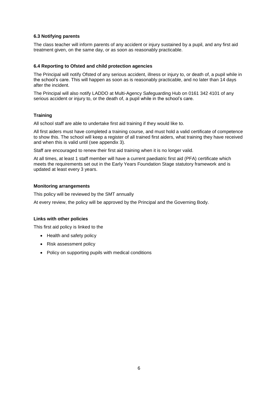#### **6.3 Notifying parents**

The class teacher will inform parents of any accident or injury sustained by a pupil, and any first aid treatment given, on the same day, or as soon as reasonably practicable.

#### **6.4 Reporting to Ofsted and child protection agencies**

The Principal will notify Ofsted of any serious accident, illness or injury to, or death of, a pupil while in the school's care. This will happen as soon as is reasonably practicable, and no later than 14 days after the incident.

The Principal will also notify LADDO at Multi-Agency Safeguarding Hub on 0161 342 4101 of any serious accident or injury to, or the death of, a pupil while in the school's care.

# **Training**

All school staff are able to undertake first aid training if they would like to.

All first aiders must have completed a training course, and must hold a valid certificate of competence to show this. The school will keep a register of all trained first aiders, what training they have received and when this is valid until (see appendix 3).

Staff are encouraged to renew their first aid training when it is no longer valid.

At all times, at least 1 staff member will have a current paediatric first aid (PFA) certificate which meets the requirements set out in the Early Years Foundation Stage statutory framework and is updated at least every 3 years.

#### **Monitoring arrangements**

This policy will be reviewed by the SMT annually

At every review, the policy will be approved by the Principal and the Governing Body.

# **Links with other policies**

This first aid policy is linked to the

- Health and safety policy
- Risk assessment policy
- Policy on supporting pupils with medical conditions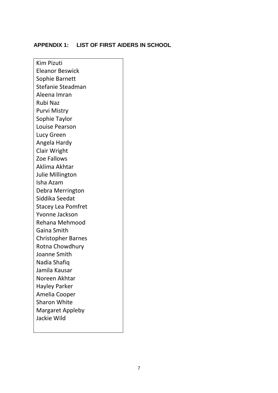# **APPENDIX 1: LIST OF FIRST AIDERS IN SCHOOL**

Kim Pizuti Eleanor Beswick Sophie Barnett Stefanie Steadman Aleena Imran Rubi Naz Purvi Mistry Sophie Taylor Louise Pearson Lucy Green Angela Hardy Clair Wright Zoe Fallows Aklima Akhtar Julie Millington Isha Azam Debra Merrington Siddika Seedat Stacey Lea Pomfret Yvonne Jackson Rehana Mehmood Gaina Smith Christopher Barnes Rotna Chowdhury Joanne Smith Nadia Shafiq Jamila Kausar Noreen Akhtar Hayley Parker Amelia Cooper Sharon White Margaret Appleby Jackie Wild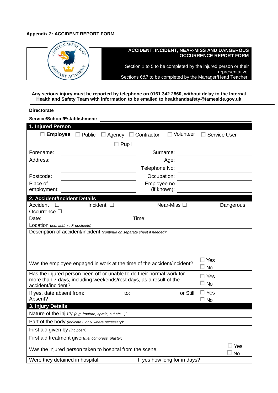# **Appendix 2: ACCIDENT REPORT FORM**



**Any serious injury must be reported by telephone on 0161 342 2860, without delay to the Internal Health and Safety Team with information to be emailed to healthandsafety@tameside.gov.uk**

| <b>Directorate</b>                                                                                                                          |                                                |                  |                     |
|---------------------------------------------------------------------------------------------------------------------------------------------|------------------------------------------------|------------------|---------------------|
| Service/School/Establishment:                                                                                                               |                                                |                  |                     |
| 1. Injured Person                                                                                                                           |                                                |                  |                     |
|                                                                                                                                             | <b>Employee</b> □ Public □ Agency □ Contractor | $\Box$ Volunteer | $\Box$ Service User |
|                                                                                                                                             | $\Box$ Pupil                                   |                  |                     |
| Forename:                                                                                                                                   |                                                | Surname:         |                     |
| Address:                                                                                                                                    |                                                | Age:             |                     |
|                                                                                                                                             | Telephone No:                                  |                  |                     |
| Postcode:                                                                                                                                   |                                                |                  |                     |
| Place of                                                                                                                                    | Occupation:<br>Employee no                     |                  |                     |
| employment:                                                                                                                                 | (if known):                                    |                  |                     |
| 2. Accident/Incident Details                                                                                                                |                                                |                  |                     |
| Accident                                                                                                                                    | Incident $\square$                             | Near-Miss □      | Dangerous           |
| Occurrence $\Box$                                                                                                                           |                                                |                  |                     |
| Date:                                                                                                                                       | Time:                                          |                  |                     |
| Location (inc. address& postcode):                                                                                                          |                                                |                  |                     |
| Description of accident/incident (continue on separate sheet if needed):                                                                    |                                                |                  |                     |
|                                                                                                                                             |                                                |                  |                     |
|                                                                                                                                             |                                                |                  |                     |
|                                                                                                                                             |                                                |                  |                     |
| Was the employee engaged in work at the time of the accident/incident?                                                                      |                                                |                  | $\Box$ Yes          |
|                                                                                                                                             |                                                |                  | $\square$ No        |
| Has the injured person been off or unable to do their normal work for<br>more than 7 days, including weekends/rest days, as a result of the |                                                |                  | $\Box$ Yes          |
| accident/incident?                                                                                                                          |                                                |                  | $\Box$ No           |
| If yes, date absent from:                                                                                                                   | to:                                            | or Still         | $\Box$ Yes          |
| Absent?                                                                                                                                     |                                                |                  | $\square$ No        |
| 3. Injury Details                                                                                                                           |                                                |                  |                     |
| Nature of the injury (e.g. fracture, sprain, cut etc):                                                                                      |                                                |                  |                     |
| Part of the body (Indicate L or R where necessary):                                                                                         |                                                |                  |                     |
| First aid given by (inc post):                                                                                                              |                                                |                  |                     |
| First aid treatment given(i.e. compress, plaster):                                                                                          |                                                |                  |                     |
| $\Box$ Yes<br>Was the injured person taken to hospital from the scene:                                                                      |                                                |                  |                     |
| $\Box$ No                                                                                                                                   |                                                |                  |                     |
| Were they detained in hospital:<br>If yes how long for in days?                                                                             |                                                |                  |                     |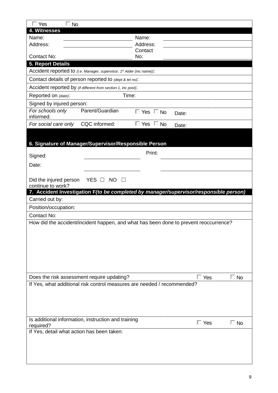| $\Box$ No<br>$\sqsupset$ Yes                                                          |                     |                      |            |              |
|---------------------------------------------------------------------------------------|---------------------|----------------------|------------|--------------|
| 4. Witnesses                                                                          |                     |                      |            |              |
| Name:                                                                                 |                     | Name:                |            |              |
| Address:                                                                              |                     | Address:             |            |              |
| <b>Contact No:</b>                                                                    |                     | Contact<br>No:       |            |              |
| <b>5. Report Details</b>                                                              |                     |                      |            |              |
| Accident reported to (i.e. Manager, supervisor, 1st Aider (inc name)):                |                     |                      |            |              |
| Contact details of person reported to (dept & tel no):                                |                     |                      |            |              |
| Accident reported by (if different from section 1, inc post):                         |                     |                      |            |              |
| Reported on (date):                                                                   | Time:               |                      |            |              |
| Signed by injured person:                                                             |                     |                      |            |              |
| For schools only<br>informed:                                                         | Parent/Guardian     | $\Box$ Yes $\Box$ No | Date:      |              |
| For social care only                                                                  | CQC informed:       | $\Box$ Yes $\Box$ No | Date:      |              |
|                                                                                       |                     |                      |            |              |
| 6. Signature of Manager/Supervisor/Responsible Person                                 |                     |                      |            |              |
|                                                                                       |                     | Print:               |            |              |
| Signed:                                                                               |                     |                      |            |              |
| Date:                                                                                 |                     |                      |            |              |
|                                                                                       |                     |                      |            |              |
| Did the injured person<br>continue to work?                                           | YES O NO<br>$\perp$ |                      |            |              |
| 7. Accident Investigation F(to be completed by manager/supervisor/responsible person) |                     |                      |            |              |
| Carried out by:                                                                       |                     |                      |            |              |
| Position/occupation:                                                                  |                     |                      |            |              |
| <b>Contact No:</b>                                                                    |                     |                      |            |              |
| How did the accident/incident happen, and what has been done to prevent reoccurrence? |                     |                      |            |              |
|                                                                                       |                     |                      |            |              |
|                                                                                       |                     |                      |            |              |
|                                                                                       |                     |                      |            |              |
|                                                                                       |                     |                      |            |              |
|                                                                                       |                     |                      |            |              |
|                                                                                       |                     |                      |            |              |
| Does the risk assessment require updating?                                            |                     |                      | Yes<br>П.  | $\square$ No |
| If Yes, what additional risk control measures are needed / recommended?               |                     |                      |            |              |
|                                                                                       |                     |                      |            |              |
|                                                                                       |                     |                      |            |              |
|                                                                                       |                     |                      |            |              |
|                                                                                       |                     |                      |            |              |
| Is additional information, instruction and training<br>required?                      |                     |                      | $\Box$ Yes | $\square$ No |
| If Yes, detail what action has been taken:                                            |                     |                      |            |              |
|                                                                                       |                     |                      |            |              |
|                                                                                       |                     |                      |            |              |
|                                                                                       |                     |                      |            |              |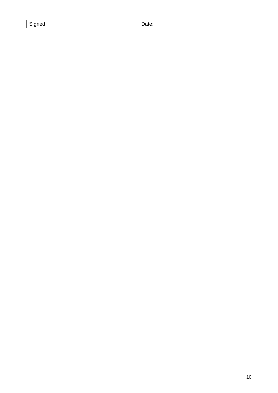| Signea |
|--------|
|--------|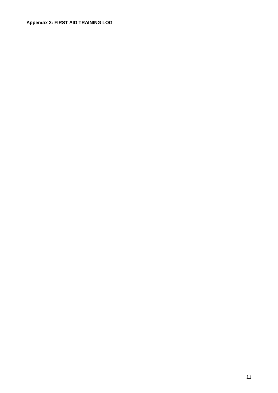# **Appendix 3: FIRST AID TRAINING LOG**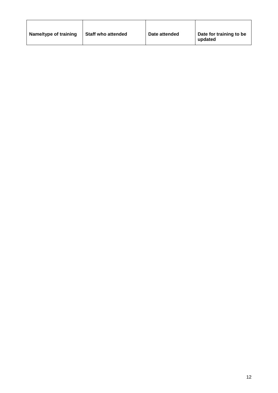| Name/type of training | <b>Staff who attended</b> | Date attended | Date for training to be<br>updated |
|-----------------------|---------------------------|---------------|------------------------------------|
|                       |                           |               |                                    |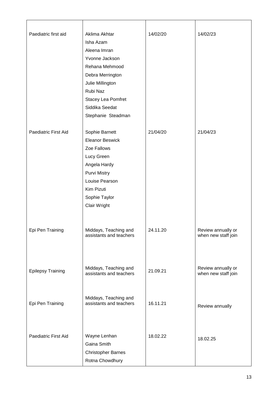| Paediatric first aid     | Aklima Akhtar<br>Isha Azam<br>Aleena Imran<br>Yvonne Jackson<br>Rehana Mehmood<br>Debra Merrington<br>Julie Millington<br>Rubi Naz<br>Stacey Lea Pomfret<br>Siddika Seedat<br>Stephanie Steadman | 14/02/20 | 14/02/23                                  |
|--------------------------|--------------------------------------------------------------------------------------------------------------------------------------------------------------------------------------------------|----------|-------------------------------------------|
| Paediatric First Aid     | Sophie Barnett<br><b>Eleanor Beswick</b><br>Zoe Fallows<br>Lucy Green<br>Angela Hardy<br><b>Purvi Mistry</b><br>Louise Pearson<br>Kim Pizuti<br>Sophie Taylor<br>Clair Wright                    | 21/04/20 | 21/04/23                                  |
| Epi Pen Training         | Middays, Teaching and<br>assistants and teachers                                                                                                                                                 | 24.11.20 | Review annually or<br>when new staff join |
| <b>Epilepsy Training</b> | Middays, Teaching and<br>assistants and teachers                                                                                                                                                 | 21.09.21 | Review annually or<br>when new staff join |
| Epi Pen Training         | Middays, Teaching and<br>assistants and teachers                                                                                                                                                 | 16.11.21 | Review annually                           |
| Paediatric First Aid     | Wayne Lenhan<br>Gaina Smith<br><b>Christopher Barnes</b><br>Rotna Chowdhury                                                                                                                      | 18.02.22 | 18.02.25                                  |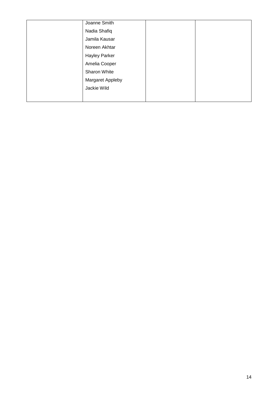| Joanne Smith         |  |
|----------------------|--|
| Nadia Shafiq         |  |
| Jamila Kausar        |  |
| Noreen Akhtar        |  |
| <b>Hayley Parker</b> |  |
| Amelia Cooper        |  |
| Sharon White         |  |
| Margaret Appleby     |  |
| Jackie Wild          |  |
|                      |  |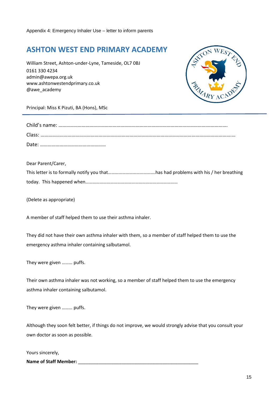# **ASHTON WEST END PRIMARY ACADEMY**

William Street, Ashton-under-Lyne, Tameside, OL7 0BJ 0161 330 4234 [admin@awepa.org.uk](mailto:admin@awepa.org.uk)  [www.ashtonwestendprimary.co.uk](http://www.ashtonwestendprimary.co.uk/) @awe\_academy



Principal: Miss K Pizuti, BA (Hons), MSc

Dear Parent/Carer,

(Delete as appropriate)

A member of staff helped them to use their asthma inhaler.

They did not have their own asthma inhaler with them, so a member of staff helped them to use the emergency asthma inhaler containing salbutamol.

They were given ……… puffs.

Their own asthma inhaler was not working, so a member of staff helped them to use the emergency asthma inhaler containing salbutamol.

They were given ……… puffs.

Although they soon felt better, if things do not improve, we would strongly advise that you consult your own doctor as soon as possible.

Yours sincerely,

Name of Staff Member: